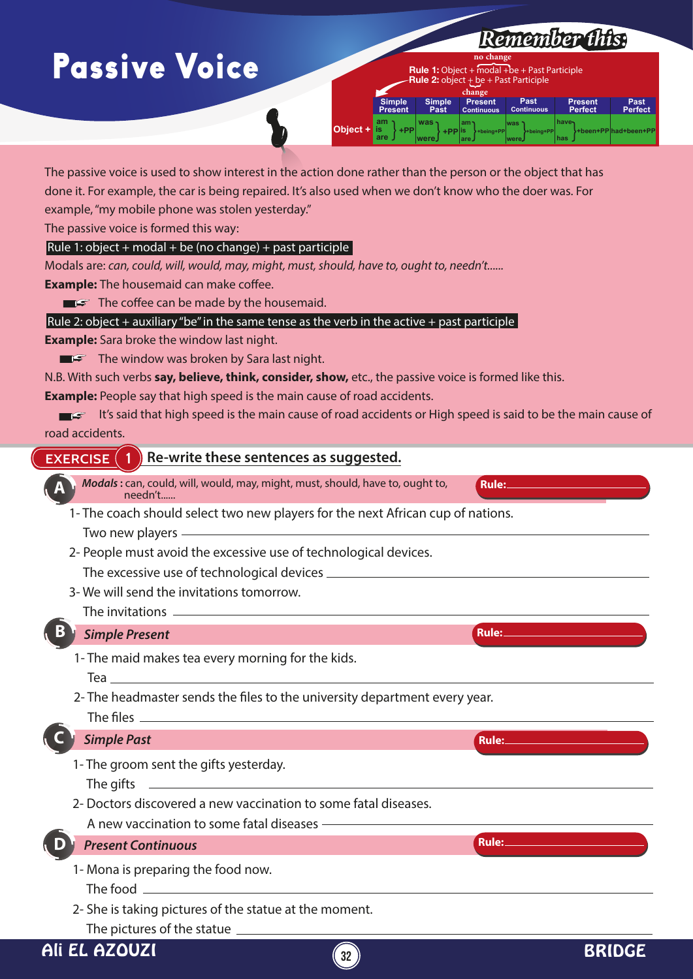## Passive Voice



The passive voice is used to show interest in the action done rather than the person or the object that has done it. For example, the car is being repaired. It's also used when we don't know who the doer was. For example, "my mobile phone was stolen yesterday."

The passive voice is formed this way:

#### Rule 1: object + modal + be (no change) + past participle

Modals are: *can, could, will, would, may, might, must, should, have to, ought to, needn't......* **Example:** The housemaid can make coffee.

 $\blacksquare$  $\blacksquare$  $\blacksquare$  $\blacksquare$  $\blacksquare$  $\blacksquare$  $\blacksquare$  $\blacksquare$  $\blacksquare$  $\blacksquare$  $\blacksquare$  $\blacksquare$  $\blacksquare$ 

Rule 2: object + auxiliary "be" in the same tense as the verb in the active + past participle

**Example:** Sara broke the window last night.

 $\blacksquare$  The window was broken by Sara last night.

N.B. With such verbs **say, believe, think, consider, show,** etc., the passive voice is formed like this.

**Example:** People say that high speed is the main cause of road accidents.

It's said that high speed is the main cause of road accidents or High speed is said to be the main cause of road accidents.

#### **EXERCISE 1 Re-write these sentences as suggested.**

- *Modals* **:** can, could, will, would, may, might, must, should, have to, ought to, needn't...... **Rule: A**
	- 1- The coach should select two new players for the next African cup of nations. Two new players
	- 2- People must avoid the excessive use of technological devices.

The excessive use of technological devices

3- We will send the invitations tomorrow.

#### The invitations

| ,,,,,,,,,,,,,,,,,                                                                                             |              |
|---------------------------------------------------------------------------------------------------------------|--------------|
| B<br><b>Simple Present</b>                                                                                    | Rule:        |
| 1- The maid makes tea every morning for the kids.<br>Tea $\;$ $\;$                                            |              |
| 2- The headmaster sends the files to the university department every year.                                    |              |
| <b>Simple Past</b>                                                                                            | <b>Rule:</b> |
| 1- The groom sent the gifts yesterday.<br>The gifts                                                           |              |
| 2- Doctors discovered a new vaccination to some fatal diseases.<br>A new vaccination to some fatal diseases - |              |
| <b>Present Continuous</b>                                                                                     | Rule:        |
| 1- Mona is preparing the food now.<br>The food                                                                |              |

2- She is taking pictures of the statue at the moment.

The pictures of the statue

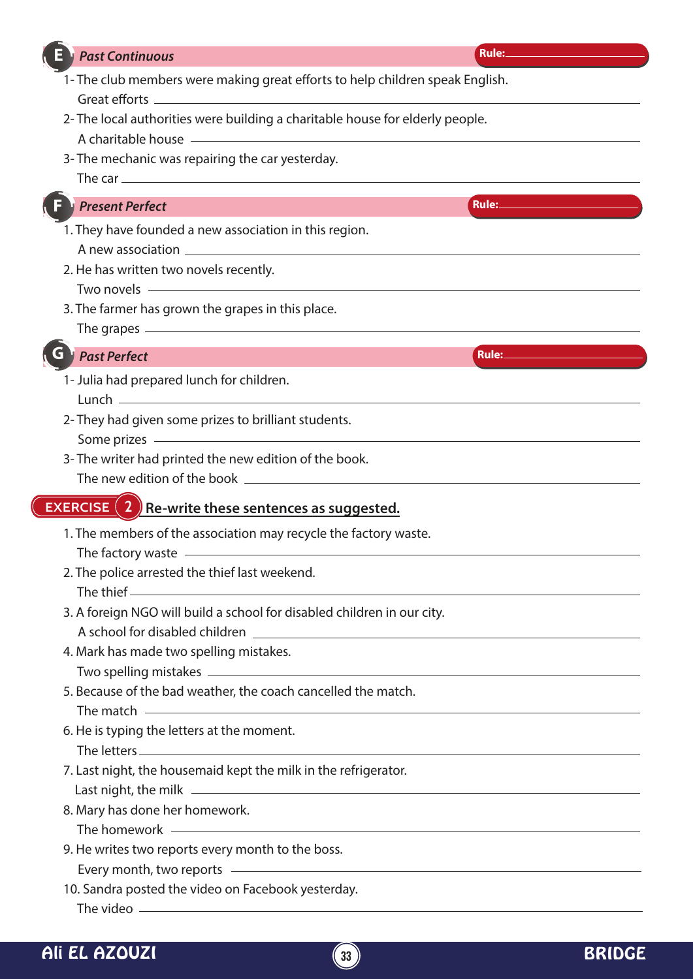| <b>Past Continuous</b>                                                                                                                                                                                                               | Rule:                                                                                                                                                                                                                                |
|--------------------------------------------------------------------------------------------------------------------------------------------------------------------------------------------------------------------------------------|--------------------------------------------------------------------------------------------------------------------------------------------------------------------------------------------------------------------------------------|
| 1- The club members were making great efforts to help children speak English.                                                                                                                                                        |                                                                                                                                                                                                                                      |
|                                                                                                                                                                                                                                      |                                                                                                                                                                                                                                      |
| 2- The local authorities were building a charitable house for elderly people.                                                                                                                                                        |                                                                                                                                                                                                                                      |
| A charitable house <b>A</b> charitable house <b>A</b> charitable house <b>A</b> charitable house <b>A</b>                                                                                                                            |                                                                                                                                                                                                                                      |
| 3- The mechanic was repairing the car yesterday.                                                                                                                                                                                     |                                                                                                                                                                                                                                      |
|                                                                                                                                                                                                                                      |                                                                                                                                                                                                                                      |
| <b>Present Perfect</b>                                                                                                                                                                                                               | Rule: <b>Rule: And American Street Property</b>                                                                                                                                                                                      |
| 1. They have founded a new association in this region.                                                                                                                                                                               |                                                                                                                                                                                                                                      |
|                                                                                                                                                                                                                                      |                                                                                                                                                                                                                                      |
| 2. He has written two novels recently.                                                                                                                                                                                               |                                                                                                                                                                                                                                      |
| Two novels <u>example and the set of the set of the set of the set of the set of the set of the set of the set of the set of the set of the set of the set of the set of the set of the set of the set of the set of the set of </u> |                                                                                                                                                                                                                                      |
| 3. The farmer has grown the grapes in this place.                                                                                                                                                                                    |                                                                                                                                                                                                                                      |
|                                                                                                                                                                                                                                      | The grapes <u>experience</u> and the grapes experience of the grapes of the grapes of the grapes of the grapes of the graphs of the graphs of the graphs of the graphs of the graphs of the graphs of the graphs of the graphs of t  |
| <b>Past Perfect</b>                                                                                                                                                                                                                  | Rule: <b>All and Street Property</b>                                                                                                                                                                                                 |
| 1- Julia had prepared lunch for children.                                                                                                                                                                                            |                                                                                                                                                                                                                                      |
|                                                                                                                                                                                                                                      |                                                                                                                                                                                                                                      |
| 2- They had given some prizes to brilliant students.                                                                                                                                                                                 |                                                                                                                                                                                                                                      |
| Some prizes <u>example and the set of the set of the set of the set of the set of the set of the set of the set of the set of the set of the set of the set of the set of the set of the set of the set of the set of the set of</u> |                                                                                                                                                                                                                                      |
| 3- The writer had printed the new edition of the book.                                                                                                                                                                               |                                                                                                                                                                                                                                      |
|                                                                                                                                                                                                                                      |                                                                                                                                                                                                                                      |
| <b>EXERCISE</b> $(2)$ Re-write these sentences as suggested.                                                                                                                                                                         |                                                                                                                                                                                                                                      |
| 1. The members of the association may recycle the factory waste.                                                                                                                                                                     |                                                                                                                                                                                                                                      |
|                                                                                                                                                                                                                                      |                                                                                                                                                                                                                                      |
| 2. The police arrested the thief last weekend.                                                                                                                                                                                       |                                                                                                                                                                                                                                      |
|                                                                                                                                                                                                                                      |                                                                                                                                                                                                                                      |
| 3. A foreign NGO will build a school for disabled children in our city.                                                                                                                                                              |                                                                                                                                                                                                                                      |
|                                                                                                                                                                                                                                      |                                                                                                                                                                                                                                      |
| 4. Mark has made two spelling mistakes.                                                                                                                                                                                              |                                                                                                                                                                                                                                      |
|                                                                                                                                                                                                                                      |                                                                                                                                                                                                                                      |
| 5. Because of the bad weather, the coach cancelled the match.                                                                                                                                                                        |                                                                                                                                                                                                                                      |
|                                                                                                                                                                                                                                      | The match <u>example and the set of the set of the set of the set of the set of the set of the set of the set of the set of the set of the set of the set of the set of the set of the set of the set of the set of the set of t</u> |
| 6. He is typing the letters at the moment.                                                                                                                                                                                           |                                                                                                                                                                                                                                      |
|                                                                                                                                                                                                                                      |                                                                                                                                                                                                                                      |
| 7. Last night, the housemaid kept the milk in the refrigerator.                                                                                                                                                                      |                                                                                                                                                                                                                                      |
|                                                                                                                                                                                                                                      |                                                                                                                                                                                                                                      |
| 8. Mary has done her homework.                                                                                                                                                                                                       |                                                                                                                                                                                                                                      |
|                                                                                                                                                                                                                                      | The homework experience and the contract of the contract of the contract of the contract of the contract of the contract of the contract of the contract of the contract of the contract of the contract of the contract of th       |
| 9. He writes two reports every month to the boss.                                                                                                                                                                                    |                                                                                                                                                                                                                                      |
|                                                                                                                                                                                                                                      | Every month, two reports example and the set of the set of the set of the set of the set of the set of the set of the set of the set of the set of the set of the set of the set of the set of the set of the set of the set o       |
| 10. Sandra posted the video on Facebook yesterday.                                                                                                                                                                                   |                                                                                                                                                                                                                                      |
|                                                                                                                                                                                                                                      |                                                                                                                                                                                                                                      |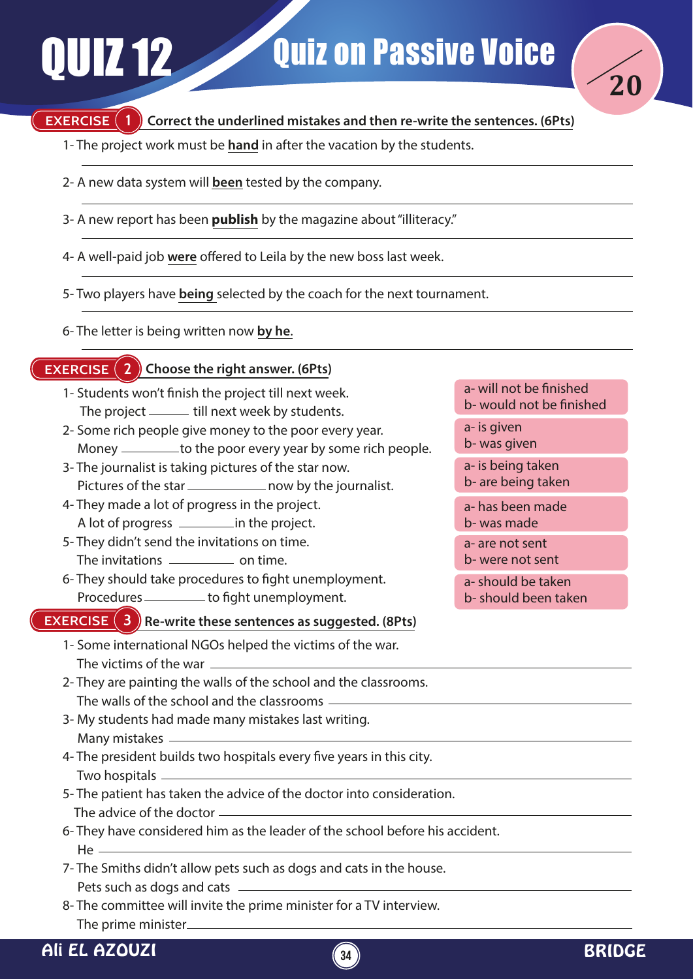# QUIZ 12 Quiz on Passive Voice



## **EXERCISE (1)**

## **Correct the underlined mistakes and then re-write the sentences. (6Pts)**

- 1- The project work must be **hand** in after the vacation by the students.
- 2- A new data system will **been** tested by the company.
- 3- A new report has been **publish** by the magazine about "illiteracy."
- 4- A well-paid job were offered to Leila by the new boss last week.
- 5- Two players have **being** selected by the coach for the next tournament.
- 6- The letter is being written now **by he**.

## **EXERCISE 2 Choose the right answer. (6Pts)**

- 1- Students won't finish the project till next week. The project \_\_\_\_\_\_ till next week by students.
- 2- Some rich people give money to the poor every year. Money \_\_\_\_\_\_\_\_\_ to the poor every year by some rich people.
- 3- The journalist is taking pictures of the star now. Pictures of the star \_\_\_\_\_\_\_\_\_\_\_\_\_ now by the journalist.
- 4- They made a lot of progress in the project. A lot of progress in the project.
- 5- They didn't send the invitations on time. The invitations \_\_\_\_\_\_\_\_\_\_\_\_\_ on time.
- 6- They should take procedures to fight unemployment. Procedures \_\_\_\_\_\_\_\_\_ to fight unemployment.

#### **EXERCISE** (3) Re-write these sentences as suggested. (8Pts)

- 1- Some international NGOs helped the victims of the war. The victims of the war
- 2- They are painting the walls of the school and the classrooms. The walls of the school and the classrooms
- 3- My students had made many mistakes last writing. Many mistakes
- 4- The president builds two hospitals every five years in this city. Two hospitals
- 5- The patient has taken the advice of the doctor into consideration. The advice of the doctor
- 6- They have considered him as the leader of the school before his accident.  $He<sub>1</sub>$
- 7- The Smiths didn't allow pets such as dogs and cats in the house. Pets such as dogs and cats
- 8- The committee will invite the prime minister for a TV interview. The prime minister

#### a- will not be finished b- would not be finished

- a- is given
- b- was given
- a- is being taken b- are being taken
- a- has been made b- was made
- a- are not sent
- b- were not sent
- a- should be taken b- should been taken